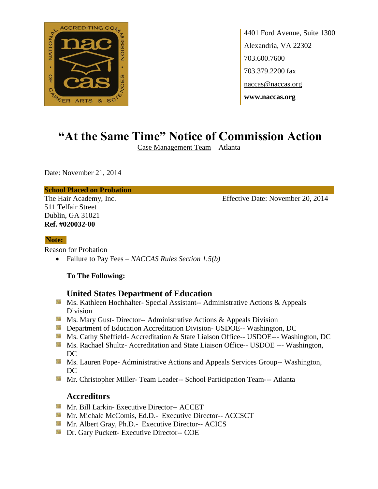

4401 Ford Avenue, Suite 1300 Alexandria, VA 22302 703.600.7600 703.379.2200 fax naccas@naccas.org **www.naccas.org**

# **"At the Same Time" Notice of Commission Action**

Case Management Team – Atlanta

Date: November 21, 2014

### **School Placed on Probation**

511 Telfair Street Dublin, GA 31021 **Ref. #020032-00**

The Hair Academy, Inc. Effective Date: November 20, 2014

#### **Note:**

Reason for Probation

Failure to Pay Fees – *NACCAS Rules Section 1.5(b)*

#### **To The Following:**

## **United States Department of Education**

- **Ms. Kathleen Hochhalter- Special Assistant-- Administrative Actions & Appeals** Division
- **MS. Mary Gust- Director-- Administrative Actions & Appeals Division**
- **Department of Education Accreditation Division- USDOE-- Washington, DC**
- Ms. Cathy Sheffield- Accreditation & State Liaison Office-- USDOE--- Washington, DC
- **Ms. Rachael Shultz- Accreditation and State Liaison Office-- USDOE --- Washington,** DC
- **MS. Lauren Pope- Administrative Actions and Appeals Services Group-- Washington,** DC
- **Mr.** Christopher Miller-Team Leader-- School Participation Team--- Atlanta

## **Accreditors**

- **Mr. Bill Larkin- Executive Director-- ACCET**
- Mr. Michale McComis, Ed.D.- Executive Director-- ACCSCT
- **Mr.** Albert Gray, Ph.D.- Executive Director-- ACICS
- **Dr.** Gary Puckett- Executive Director-- COE